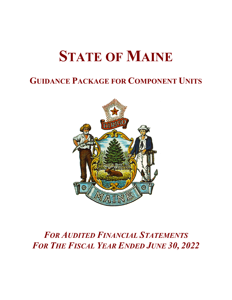# **STATE OF MAINE**

### **GUIDANCE PACKAGE FOR COMPONENT UNITS**



## *FOR AUDITED FINANCIAL STATEMENTS FOR THE FISCAL YEAR ENDED JUNE 30, 2022*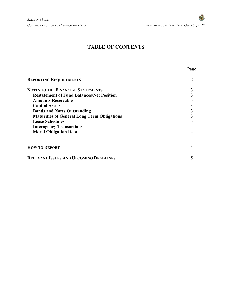Page

### **TABLE OF CONTENTS**

| <b>REPORTING REQUIREMENTS</b>                      |  |
|----------------------------------------------------|--|
| <b>NOTES TO THE FINANCIAL STATEMENTS</b>           |  |
| <b>Restatement of Fund Balances/Net Position</b>   |  |
| <b>Amounts Receivable</b>                          |  |
| <b>Capital Assets</b>                              |  |
| <b>Bonds and Notes Outstanding</b>                 |  |
| <b>Maturities of General Long Term Obligations</b> |  |
| <b>Lease Schedules</b>                             |  |
| <b>Interagency Transactions</b>                    |  |
| <b>Moral Obligation Debt</b>                       |  |
| <b>HOW TO REPORT</b>                               |  |
| <b>RELEVANT ISSUES AND UPCOMING DEADLINES</b>      |  |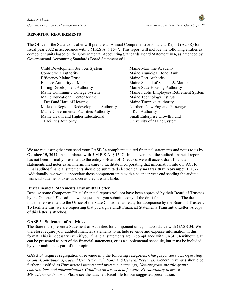#### **REPORTING REQUIREMENTS**

The Office of the State Controller will prepare an Annual Comprehensive Financial Report (ACFR) for fiscal year 2022 in accordance with 5 M.R.S.A. § 1547. This report will include the following entities as component units based on the Governmental Accounting Standards Board Statement #14, as amended by Governmental Accounting Standards Board Statement #61:

| Child Development Services System         |
|-------------------------------------------|
| ConnectME Authority                       |
| <b>Efficiency Maine Trust</b>             |
| Finance Authority of Maine                |
| Loring Development Authority              |
| Maine Community College System            |
| Maine Educational Center for the          |
| Deaf and Hard of Hearing                  |
| Midcoast Regional Redevelopment Authority |
| Maine Governmental Facilities Authority   |
| Maine Health and Higher Educational       |
| <b>Facilities Authority</b>               |

Maine Maritime Academy Maine Municipal Bond Bank Maine Port Authority Maine School of Science & Mathematics Maine State Housing Authority Maine Public Employees Retirement System Maine Technology Institute Maine Turnpike Authority Northern New England Passenger Rail Authority Small Enterprise Growth Fund University of Maine System

We are requesting that you send your GASB 34 compliant audited financial statements and notes to us by **October 15, 2022**, in accordance with 5 M.R.S.A. § 1547. In the event that the audited financial report has not been formally presented to the entity's Board of Directors, we will accept draft financial statements and notes as an interim measure to facilitate incorporating that information into our ACFR. Final audited financial statements should be submitted electronically **no later than November 1, 2022**. Additionally, we would appreciate those component units with a calendar year end sending the audited financial statements to us as soon as they are available.

#### **Draft Financial Statements Transmittal Letter**

Because some Component Units' financial reports will not have been approved by their Board of Trustees by the October  $15<sup>th</sup>$  deadline, we request that you submit a copy of the draft financials to us. The draft must be represented to the Office of the State Controller as ready for acceptance by the Board of Trustees. To facilitate this, we are requesting that you sign a Draft Financial Statements Transmittal Letter. A copy of this letter is attached.

#### **GASB 34 Statement of Activities**

The State must present a Statement of Activities for component units, in accordance with GASB 34. We therefore require your audited financial statements to include revenue and expense information in this format. This is necessary even if your financial statements are in compliance with GASB 34 without it. It can be presented as part of the financial statements, or as a supplemental schedule, but **must** be included by your auditors as part of their opinion.

GASB 34 requires segregation of revenue into the following categories: *Charges for Services, Operating Grants/Contributions, Capital Grants/Contributions,* and *General Revenues.* General revenues should be further classified as *Unrestricted interest and investment earnings, Non-program specific grants, contributions and appropriations, Gain/loss on assets held for sale, Extraordinary items,* or *Miscellaneous income.* Please see the attached Excel file for our suggested presentation.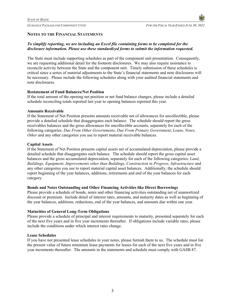*GUIDANCE PACKAGE FOR COMPONENT UNITS FOR THE FISCAL YEAR ENDED JUNE 30, 2022*

#### **NOTES TO THE FINANCIAL STATEMENTS**

#### *To simplify reporting, we are including an Excel file containing forms to be completed for the disclosure information. Please use these standardized forms to submit the information requested.*

The State must include supporting schedules as part of the component unit presentation. Consequently, we are requesting additional detail for the footnote disclosures. We may also require assistance to reconcile activity between the State and the component unit. Timely submission of these schedules is critical since a series of material adjustments to the State's financial statements and note disclosures will be necessary. Please include the following schedules along with your audited financial statements and note disclosures.

#### **Restatement of Fund Balances/Net Position**

If the total amount of the opening net position or net fund balance changes, please include a detailed schedule reconciling totals reported last year to opening balances reported this year.

#### **Amounts Receivable**

If the Statement of Net Position presents amounts receivable net of allowances for uncollectible, please provide a detailed schedule that disaggregates each balance. The schedule should report the gross receivables balances and the gross allowances for uncollectible accounts, separately for each of the following categories: *Due From Other Governments*, *Due From Primary Government*, *Loans, Notes, Other* and any other categories you use to report material receivable balances.

#### **Capital Assets**

If the Statement of Net Position presents capital assets net of accumulated depreciation, please provide a detailed schedule that disaggregates each balance. The schedule should report the gross capital asset balances and the gross accumulated depreciation, separately for each of the following categories: *Land*, *Buildings, Equipment, Improvements other than Buildings, Construction in Progress, Infrastructure* and any other categories you use to report material capital asset balances. Additionally, the schedule should report beginning of the year balances, additions, retirements and end of the year balances for each category.

#### **Bonds and Notes Outstanding and Other Financing Activities like Direct Borrowings**

Please provide a schedule of bonds, notes and other financing activities outstanding net of unamortized discount or premium. Include detail of interest rates, amounts, and maturity dates as well as beginning of the year balances, additions, reductions, end of the year balances, and amounts due within one year.

#### **Maturities of General Long-Term Obligations**

Please provide a schedule of principal and interest requirements to maturity, presented separately for each of the next five years and in five year increments thereafter. If obligations include variable rates, please include the conditions under which interest rates change.

#### **Lease Schedules**

If you have not presented lease schedules in your notes, please furnish them to us. The schedule must list the present value of future minimum lease payments for leases for each of the next five years and in five year increments thereafter. The amounts in the statements and schedule must comply with GASB 87.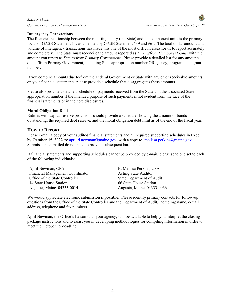

#### **Interagency Transactions**

The financial relationship between the reporting entity (the State) and the component units is the primary focus of GASB Statement 14, as amended by GASB Statement #39 and #61. The total dollar amount and volume of interagency transactions has made this one of the most difficult areas for us to report accurately and completely. The State must reconcile the amount reported as *Due to/from Component Units* with the amount you report as *Due to/from Primary Government*. Please provide a detailed list for any amounts due to/from Primary Government, including State appropriation number OR agency, program, and grant number.

If you combine amounts due to/from the Federal Government or State with any other receivable amounts on your financial statements, please provide a schedule that disaggregates these amounts.

Please also provide a detailed schedule of payments received from the State and the associated State appropriation number if the intended purpose of such payments if not evident from the face of the financial statements or in the note disclosures.

#### **Moral Obligation Debt**

Entities with capital reserve provisions should provide a schedule showing the amount of bonds outstanding, the required debt reserve, and the moral obligation debt limit as of the end of the fiscal year.

#### **HOW TO REPORT**

Please e-mail a copy of your audited financial statements and all required supporting schedules in Excel by **October 15, 2022** to: april.d.newman@maine.gov: with a copy to: melissa.perkins@maine.gov. Submissions e-mailed do not need to provide subsequent hard copies.

If financial statements and supporting schedules cannot be provided by e-mail, please send one set to each of the following individuals:

April Newman, CPA B. Melissa Perkins, CPA Financial Management Coordinator Office of the State Controller 14 State House Station 66 State House Station Augusta, Maine 04333-0014 Augusta, Maine 04333-0066

Acting State Auditor State Department of Audit

We would appreciate electronic submission if possible. Please identify primary contacts for follow-up questions from the Office of the State Controller and the Department of Audit, including: name, e-mail address, telephone and fax numbers.

April Newman, the Office's liaison with your agency, will be available to help you interpret the closing package instructions and to assist you in developing methodologies for compiling information in order to meet the October 15 deadline.